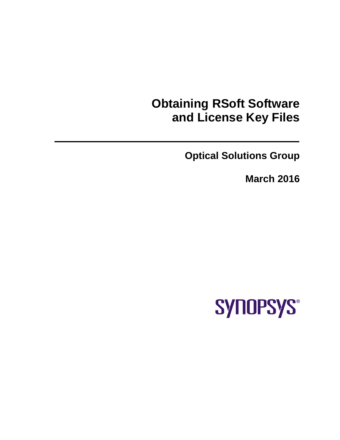# **Obtaining RSoft Software and License Key Files**

**Optical Solutions Group**

**March 2016**

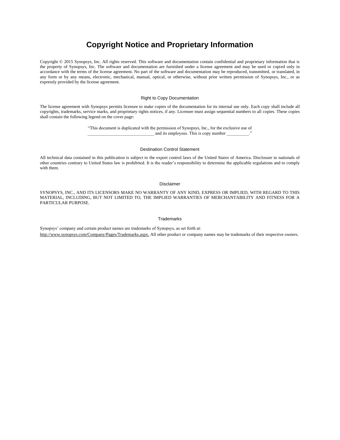#### **Copyright Notice and Proprietary Information**

Copyright © 2015 Synopsys, Inc. All rights reserved. This software and documentation contain confidential and proprietary information that is the property of Synopsys, Inc. The software and documentation are furnished under a license agreement and may be used or copied only in accordance with the terms of the license agreement. No part of the software and documentation may be reproduced, transmitted, or translated, in any form or by any means, electronic, mechanical, manual, optical, or otherwise, without prior written permission of Synopsys, Inc., or as expressly provided by the license agreement.

#### Right to Copy Documentation

The license agreement with Synopsys permits licensee to make copies of the documentation for its internal use only. Each copy shall include all copyrights, trademarks, service marks, and proprietary rights notices, if any. Licensee must assign sequential numbers to all copies. These copies shall contain the following legend on the cover page:

> "This document is duplicated with the permission of Synopsys, Inc., for the exclusive use of and its employees. This is copy number

#### Destination Control Statement

All technical data contained in this publication is subject to the export control laws of the United States of America. Disclosure to nationals of other countries contrary to United States law is prohibited. It is the reader's responsibility to determine the applicable regulations and to comply with them.

#### Disclaimer

SYNOPSYS, INC., AND ITS LICENSORS MAKE NO WARRANTY OF ANY KIND, EXPRESS OR IMPLIED, WITH REGARD TO THIS MATERIAL, INCLUDING, BUT NOT LIMITED TO, THE IMPLIED WARRANTIES OF MERCHANTABILITY AND FITNESS FOR A PARTICULAR PURPOSE.

#### **Trademarks**

Synopsys' company and certain product names are trademarks of Synopsys, as set forth at: http://www.synopsys.com/Company/Pages/Trademarks.aspx. All other product or company names may be trademarks of their respective owners.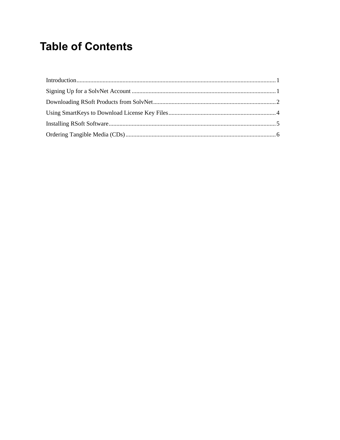## **Table of Contents**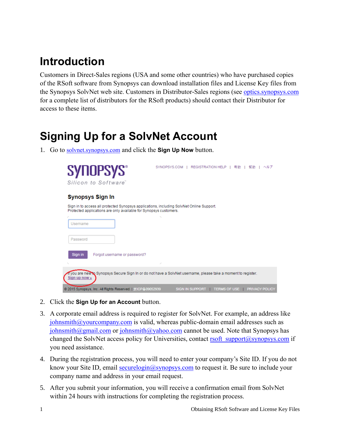### <span id="page-4-0"></span>**Introduction**

Customers in Direct-Sales regions (USA and some other countries) who have purchased copies of the RSoft software from Synopsys can download installation files and License Key files from the Synopsys SolvNet web site. Customers in Distributor-Sales regions (see [optics.synopsys.com](http://optics.synopsys.com/) for a complete list of distributors for the RSoft products) should contact their Distributor for access to these items.

# <span id="page-4-1"></span>**Signing Up for a SolvNet Account**

1. Go to [solvnet.synopsys.com](http://solvnet.synopsys.com/) and click the **Sign Up Now** button.



- 2. Click the **Sign Up for an Account** button.
- 3. A corporate email address is required to register for SolvNet. For example, an address like [johnsmith@yourcompany.com](mailto:johnsmith@yourcompany.com) is valid, whereas public-domain email addresses such as [johnsmith@gmail.com](mailto:johnsmith@gmail.com) or [johnsmith@yahoo.com](mailto:johnsmith@yahoo.com) cannot be used. Note that Synopsys has changed the SolvNet access policy for Universities, contact [rsoft\\_support@synopsys.com](mailto:rsoft_support@synopsys.com) if you need assistance.
- 4. During the registration process, you will need to enter your company's Site ID. If you do not know your Site ID, email [securelogin@synopsys.com](mailto:securelogin@synopsys.com) to request it. Be sure to include your company name and address in your email request.
- 5. After you submit your information, you will receive a confirmation email from SolvNet within 24 hours with instructions for completing the registration process.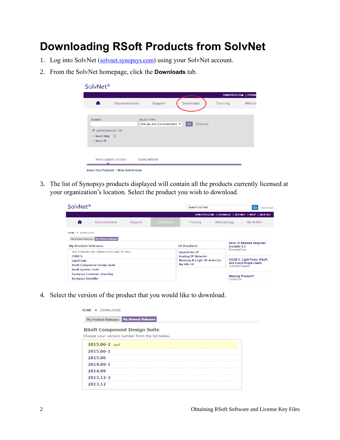### <span id="page-5-0"></span>**Downloading RSoft Products from SolvNet**

- 1. Log into SolvNet ([solvnet.synopsys.com](http://solvnet.synopsys.com/)) using your SolvNet account.
- 2. From the SolvNet homepage, click the **Downloads** tab.

| SolvNet <sup>®</sup>                                                 |                                          |                                                    |           |          |          |                      |
|----------------------------------------------------------------------|------------------------------------------|----------------------------------------------------|-----------|----------|----------|----------------------|
|                                                                      |                                          |                                                    |           |          |          | SYNOPSYS.COM   FEEDB |
| A                                                                    | Documentation                            | Support                                            | Downloads |          | Training | Method               |
| <b>SEARCH</b><br>AUTOCOMPLETE ON<br>> Search Help (?)<br>> Search IP |                                          | <b>SELECT TYPE</b><br>Articles and Documentation ▼ | Go        | Advanced |          |                      |
| New/Updated Articles                                                 | Select Your Products   More New Articles | <b>Saved Articles</b>                              |           |          |          |                      |

3. The list of Synopsys products displayed will contain all the products currently licensed at your organization's location. Select the product you wish to download.

| SolvNet <sup>®</sup>                |                                                 |         |                  | Search SolvNet            |                                                      |                                                  | Go         | Advanced |
|-------------------------------------|-------------------------------------------------|---------|------------------|---------------------------|------------------------------------------------------|--------------------------------------------------|------------|----------|
|                                     |                                                 |         |                  |                           | SYNOPSYS.COM   FEEDBACK   SITE MAP   HELP   SIGN OUT |                                                  |            |          |
|                                     | Documentation                                   | Support | <b>Downloads</b> | Training                  | Methodology                                          |                                                  | My Profile |          |
| <b>DOWNLOADS</b><br><b>HOME</b>     |                                                 |         |                  |                           |                                                      |                                                  |            |          |
|                                     | My Product Releases My Newest Releases          |         |                  |                           |                                                      |                                                  |            |          |
| <b>My Product Releases</b>          |                                                 |         |                  | <b>TP Products</b>        |                                                      | 2014.12 Release Requires<br>Installer 3.2        |            |          |
|                                     | New! indicates new release within past 45 days. |         |                  | <b>Search for IP</b>      |                                                      | Download Now                                     |            |          |
| <b>CODE V</b>                       |                                                 |         |                  | <b>Analog IP Selector</b> |                                                      |                                                  |            |          |
| <b>LightTools</b>                   |                                                 |         |                  |                           | <b>Memory &amp; Logic IP Selector</b>                | <b>CODE V. LightTools, RSoft,</b>                |            |          |
| <b>RSoft Component Design Suite</b> |                                                 |         |                  | <b>My Site IP</b>         |                                                      | and Lucid Shape Users<br><b>Customer Support</b> |            |          |
| <b>RSoft System Tools</b>           |                                                 |         |                  |                           |                                                      |                                                  |            |          |
|                                     | <b>Synopsys Common Licensing</b>                |         |                  |                           |                                                      |                                                  |            |          |
| <b>Synopsys Installer</b>           |                                                 |         |                  |                           |                                                      | <b>Missing Product?</b><br>Contact Us            |            |          |

4. Select the version of the product that you would like to download.

| <b>HOME</b><br>DOWNLOADS<br>$\ddot{\phantom{1}}$ |
|--------------------------------------------------|
| My Product Releases My Newest Releases           |
| <b>RSoft Component Design Suite</b>              |
| Choose your version number from the list below.  |
| 2015.06-2 NEW!                                   |
| 2015.06-1                                        |
| 2015.06                                          |
| 2014.09-1                                        |
| 2014.09                                          |
| 2013.12-2                                        |
| 2013.12                                          |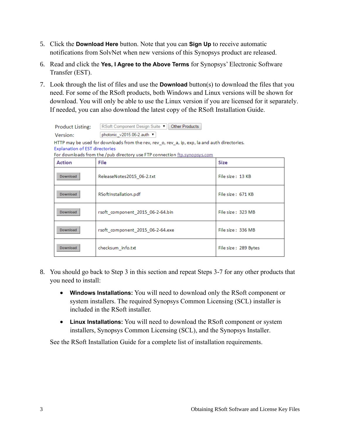- 5. Click the **Download Here** button. Note that you can **Sign Up** to receive automatic notifications from SolvNet when new versions of this Synopsys product are released.
- 6. Read and click the **Yes, I Agree to the Above Terms** for Synopsys' Electronic Software Transfer (EST).
- 7. Look through the list of files and use the **Download** button(s) to download the files that you need. For some of the RSoft products, both Windows and Linux versions will be shown for download. You will only be able to use the Linux version if you are licensed for it separately. If needed, you can also download the latest copy of the RSoft Installation Guide.

| <b>Product Listing:</b>                                                                                                                                                                                             | RSoft Component Design Suite ▼   <br>Other Products |                      |  |  |  |  |  |  |
|---------------------------------------------------------------------------------------------------------------------------------------------------------------------------------------------------------------------|-----------------------------------------------------|----------------------|--|--|--|--|--|--|
| Version:                                                                                                                                                                                                            | photonic v2015.06-2.auth ▼                          |                      |  |  |  |  |  |  |
| HTTP may be used for downloads from the rev, rev_o, rev_a, ip, exp, la and auth directories.<br><b>Explanation of EST directories</b><br>For downloads from the / pub directory use FTP connection ftp.synopsys.com |                                                     |                      |  |  |  |  |  |  |
| <b>Action</b>                                                                                                                                                                                                       | File                                                | <b>Size</b>          |  |  |  |  |  |  |
| <b>Download</b>                                                                                                                                                                                                     | ReleaseNotes2015 06-2.txt                           | File size: 13 KB     |  |  |  |  |  |  |
| <b>Download</b>                                                                                                                                                                                                     | RSoftInstallation.pdf                               | File size: 671 KB    |  |  |  |  |  |  |
| <b>Download</b>                                                                                                                                                                                                     | rsoft component 2015 06-2-64.bin                    | File size: 323 MB    |  |  |  |  |  |  |
| Download                                                                                                                                                                                                            | rsoft component 2015 06-2-64.exe                    | File size: 336 MB    |  |  |  |  |  |  |
| Download                                                                                                                                                                                                            | checksum info.txt                                   | File size: 289 Bytes |  |  |  |  |  |  |

- 8. You should go back to Step 3 in this section and repeat Steps 3-7 for any other products that you need to install:
	- **Windows Installations:** You will need to download only the RSoft component or system installers. The required Synopsys Common Licensing (SCL) installer is included in the RSoft installer.
	- **Linux Installations:** You will need to download the RSoft component or system installers, Synopsys Common Licensing (SCL), and the Synopsys Installer.

See the RSoft Installation Guide for a complete list of installation requirements.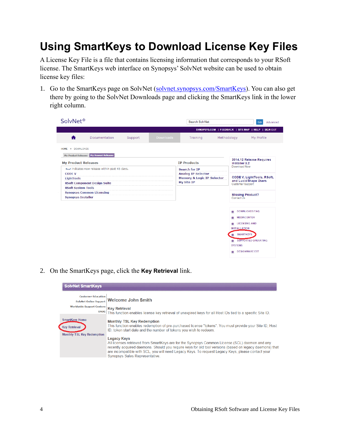### <span id="page-7-0"></span>**Using SmartKeys to Download License Key Files**

A License Key File is a file that contains licensing information that corresponds to your RSoft license. The SmartKeys web interface on Synopsys' SolvNet website can be used to obtain license key files:

1. Go to the SmartKeys page on SolvNet [\(solvnet.synopsys.com/SmartKeys\)](http://solvnet.synopsys.com/SmartKeys). You can also get there by going to the SolvNet Downloads page and clicking the SmartKeys link in the lower right column.

| SYNOPSYS.COM   FEEDBACK   SITE MAP   HELP   SIGN OUT<br>Documentation<br>Methodology<br>My Profile<br>Support<br><b>Downloads</b><br>A<br>Training<br>HOME I DOWNLOADS<br>My Product Releases My Newest Releases<br>2014.12 Release Requires<br><b>My Product Releases</b><br><b>IP Products</b><br>Installer 3.2<br>Download Now<br>New! indicates new release within past 45 days.<br><b>Search for TP</b><br><b>Analog IP Selector</b><br><b>CODE V</b><br><b>CODE V, LightTools, RSoft,</b><br><b>Memory &amp; Logic IP Selector</b><br><b>LightTools</b><br>and Lucid Shape Users<br>My Site IP<br><b>RSoft Component Design Suite</b><br><b>Customer Support</b><br><b>RSoft System Tools</b><br><b>Synopsys Common Licensing</b><br><b>Missing Product?</b><br><b>Synopsys Installer</b><br>Contact Us<br><b>DOWNLOADS FAQ</b><br>٠<br><b>MEDIACENTER</b><br>n<br><b>LICENSING AND</b><br>۰<br><b>INSTALLATION</b><br><b>SMARTKEYS</b><br><b>SUPPORTED OPERATING</b><br>٠ | SolvNet <sup>®</sup> |  |  |  | Search SolvNet |  |                | Go | Advanced |
|----------------------------------------------------------------------------------------------------------------------------------------------------------------------------------------------------------------------------------------------------------------------------------------------------------------------------------------------------------------------------------------------------------------------------------------------------------------------------------------------------------------------------------------------------------------------------------------------------------------------------------------------------------------------------------------------------------------------------------------------------------------------------------------------------------------------------------------------------------------------------------------------------------------------------------------------------------------------------------|----------------------|--|--|--|----------------|--|----------------|----|----------|
|                                                                                                                                                                                                                                                                                                                                                                                                                                                                                                                                                                                                                                                                                                                                                                                                                                                                                                                                                                                  |                      |  |  |  |                |  |                |    |          |
|                                                                                                                                                                                                                                                                                                                                                                                                                                                                                                                                                                                                                                                                                                                                                                                                                                                                                                                                                                                  |                      |  |  |  |                |  |                |    |          |
|                                                                                                                                                                                                                                                                                                                                                                                                                                                                                                                                                                                                                                                                                                                                                                                                                                                                                                                                                                                  |                      |  |  |  |                |  |                |    |          |
|                                                                                                                                                                                                                                                                                                                                                                                                                                                                                                                                                                                                                                                                                                                                                                                                                                                                                                                                                                                  |                      |  |  |  |                |  |                |    |          |
|                                                                                                                                                                                                                                                                                                                                                                                                                                                                                                                                                                                                                                                                                                                                                                                                                                                                                                                                                                                  |                      |  |  |  |                |  |                |    |          |
|                                                                                                                                                                                                                                                                                                                                                                                                                                                                                                                                                                                                                                                                                                                                                                                                                                                                                                                                                                                  |                      |  |  |  |                |  |                |    |          |
|                                                                                                                                                                                                                                                                                                                                                                                                                                                                                                                                                                                                                                                                                                                                                                                                                                                                                                                                                                                  |                      |  |  |  |                |  |                |    |          |
|                                                                                                                                                                                                                                                                                                                                                                                                                                                                                                                                                                                                                                                                                                                                                                                                                                                                                                                                                                                  |                      |  |  |  |                |  |                |    |          |
|                                                                                                                                                                                                                                                                                                                                                                                                                                                                                                                                                                                                                                                                                                                                                                                                                                                                                                                                                                                  |                      |  |  |  |                |  |                |    |          |
|                                                                                                                                                                                                                                                                                                                                                                                                                                                                                                                                                                                                                                                                                                                                                                                                                                                                                                                                                                                  |                      |  |  |  |                |  |                |    |          |
|                                                                                                                                                                                                                                                                                                                                                                                                                                                                                                                                                                                                                                                                                                                                                                                                                                                                                                                                                                                  |                      |  |  |  |                |  |                |    |          |
|                                                                                                                                                                                                                                                                                                                                                                                                                                                                                                                                                                                                                                                                                                                                                                                                                                                                                                                                                                                  |                      |  |  |  |                |  |                |    |          |
|                                                                                                                                                                                                                                                                                                                                                                                                                                                                                                                                                                                                                                                                                                                                                                                                                                                                                                                                                                                  |                      |  |  |  |                |  |                |    |          |
|                                                                                                                                                                                                                                                                                                                                                                                                                                                                                                                                                                                                                                                                                                                                                                                                                                                                                                                                                                                  |                      |  |  |  |                |  |                |    |          |
|                                                                                                                                                                                                                                                                                                                                                                                                                                                                                                                                                                                                                                                                                                                                                                                                                                                                                                                                                                                  |                      |  |  |  |                |  |                |    |          |
|                                                                                                                                                                                                                                                                                                                                                                                                                                                                                                                                                                                                                                                                                                                                                                                                                                                                                                                                                                                  |                      |  |  |  |                |  |                |    |          |
|                                                                                                                                                                                                                                                                                                                                                                                                                                                                                                                                                                                                                                                                                                                                                                                                                                                                                                                                                                                  |                      |  |  |  |                |  |                |    |          |
|                                                                                                                                                                                                                                                                                                                                                                                                                                                                                                                                                                                                                                                                                                                                                                                                                                                                                                                                                                                  |                      |  |  |  |                |  |                |    |          |
|                                                                                                                                                                                                                                                                                                                                                                                                                                                                                                                                                                                                                                                                                                                                                                                                                                                                                                                                                                                  |                      |  |  |  |                |  | <b>SYSTEMS</b> |    |          |

2. On the SmartKeys page, click the **Key Retrieval** link.



DESIGNWARE EST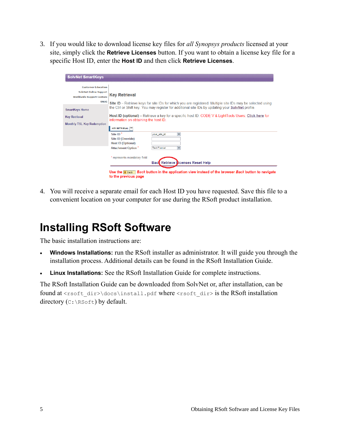3. If you would like to download license key files for *all Synopsys products* licensed at your site, simply click the **Retrieve Licenses** button. If you want to obtain a license key file for a specific Host ID, enter the **Host ID** and then click **Retrieve Licenses**.

| <b>Customer Education</b>         |                                                                                                            |
|-----------------------------------|------------------------------------------------------------------------------------------------------------|
| <b>SolvNet Online Support</b>     | <b>Key Retrieval</b>                                                                                       |
| <b>Worldwide Support Centers</b>  |                                                                                                            |
| <b>SNUG</b>                       | Site ID - Retrieve keys for site IDs for which you are registered. Multiple site IDs may be selected using |
| <b>SmartKeys Home</b>             | the Ctrl or Shift key. You may register for additional site IDs by updating your SolvNet profile.          |
| <b>Key Retrieval</b>              | Host ID (optional) – Retrieve a key for a specific host ID. CODE V & LightTools Users: Click here for      |
|                                   | information on obtaining the host ID.                                                                      |
| <b>Monthly TSL Key Redemption</b> |                                                                                                            |
|                                   | <b>KEY RETRIEVAL</b>                                                                                       |
|                                   | Site ID <sup>*</sup><br>$\overline{\phantom{a}}$<br>your site id                                           |
|                                   | Site ID (Override)                                                                                         |
|                                   | Host ID (Optional)                                                                                         |
|                                   | <b>Attachment Option</b> *<br><b>Text Format</b><br>▼                                                      |
|                                   | * represents mandatory field                                                                               |
|                                   | Retrieve Dicenses Reset Help<br><b>Bac</b>                                                                 |

<span id="page-8-0"></span>4. You will receive a separate email for each Host ID you have requested. Save this file to a convenient location on your computer for use during the RSoft product installation.

## **Installing RSoft Software**

The basic installation instructions are:

- **Windows Installations:** run the RSoft installer as administrator. It will guide you through the installation process. Additional details can be found in the RSoft Installation Guide.
- **Linux Installations:** See the RSoft Installation Guide for complete instructions.

The RSoft Installation Guide can be downloaded from SolvNet or, after installation, can be found at <rsoft\_dir>\docs\install.pdf where <rsoft\_dir> is the RSoft installation directory (C: \RSoft) by default.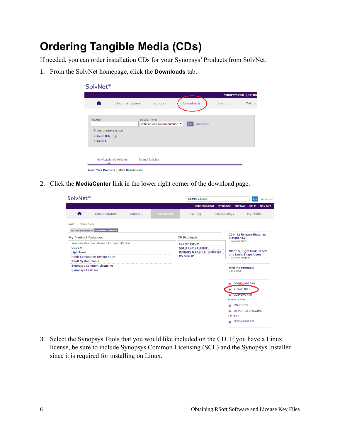### <span id="page-9-0"></span>**Ordering Tangible Media (CDs)**

If needed, you can order installation CDs for your Synopsys' Products from SolvNet:

1. From the SolvNet homepage, click the **Downloads** tab.

| SolvNet <sup>®</sup>                                                    |                |                                                    |           |          |          |                      |
|-------------------------------------------------------------------------|----------------|----------------------------------------------------|-----------|----------|----------|----------------------|
|                                                                         |                |                                                    |           |          |          | SYNOPSYS.COM   FEEDB |
|                                                                         | Documentation  | Support                                            | Downloads |          | Training | Method               |
| <b>SEARCH</b><br>AUTOCOMPLETE ON<br>> Search Help (?)<br>> Search IP    |                | <b>SELECT TYPE</b><br>Articles and Documentation ▼ | Go        | Advanced |          |                      |
| New/Updated Articles<br><b>Select Your Products   More New Articles</b> | Saved Articles |                                                    |           |          |          |                      |

2. Click the **MediaCenter** link in the lower right corner of the download page.

| SolvNet <sup>®</sup>       |                                                 |         |                  | Search SolvNet                        |                         | Go<br>Advanced                                             |  |  |
|----------------------------|-------------------------------------------------|---------|------------------|---------------------------------------|-------------------------|------------------------------------------------------------|--|--|
|                            |                                                 |         |                  |                                       |                         | SYNOPSYS.COM   FEEDBACK   SITE MAP   HELP   SIGN OUT       |  |  |
| A                          | Documentation                                   | Support | <b>Downloads</b> | Training                              | Methodology             | My Profile                                                 |  |  |
| <b>HOME</b><br>DOWNLOADS   |                                                 |         |                  |                                       |                         |                                                            |  |  |
|                            | My Product Releases My Newest Releases          |         |                  |                                       |                         |                                                            |  |  |
| <b>My Product Releases</b> |                                                 |         |                  | <b>IP Products</b>                    |                         | 2014.12 Release Requires<br>Installer 3.2                  |  |  |
|                            | New! indicates new release within past 45 days. |         |                  | <b>Search for IP</b>                  |                         | Download Now                                               |  |  |
| <b>CODE V</b>              |                                                 |         |                  | <b>Analog IP Selector</b>             |                         |                                                            |  |  |
| <b>LightTools</b>          |                                                 |         |                  | <b>Memory &amp; Logic IP Selector</b> |                         | <b>CODE V, LightTools, RSoft,</b><br>and Lucid Shape Users |  |  |
|                            | <b>RSoft Component Design Suite</b>             |         |                  | <b>My Site IP</b>                     | <b>Customer Support</b> |                                                            |  |  |
| <b>RSoft System Tools</b>  |                                                 |         |                  |                                       |                         |                                                            |  |  |
| <b>Synopsys Installer</b>  | <b>Synopsys Common Licensing</b>                |         |                  |                                       |                         | <b>Missing Product?</b>                                    |  |  |
|                            |                                                 |         |                  |                                       |                         | Contact Us                                                 |  |  |
|                            |                                                 |         |                  |                                       |                         |                                                            |  |  |
|                            |                                                 |         |                  |                                       |                         | <b>DOWNLOADS FAQ</b>                                       |  |  |
|                            |                                                 |         |                  |                                       |                         | <b>MEDIACENTER</b>                                         |  |  |
|                            |                                                 |         |                  |                                       |                         | <b>LICENSING AND</b>                                       |  |  |
|                            |                                                 |         |                  |                                       |                         | <b>INSTALLATION</b>                                        |  |  |
|                            |                                                 |         |                  |                                       |                         | <b>SMARTKEYS</b>                                           |  |  |
|                            |                                                 |         |                  |                                       |                         | <b>SUPPORTED OPERATING</b><br>٠                            |  |  |
|                            |                                                 |         |                  |                                       |                         | <b>SYSTEMS</b>                                             |  |  |

3. Select the Synopsys Tools that you would like included on the CD. If you have a Linux license, be sure to include Synopsys Common Licensing (SCL) and the Synopsys Installer since it is required for installing on Linux.

DESIGNWARE EST